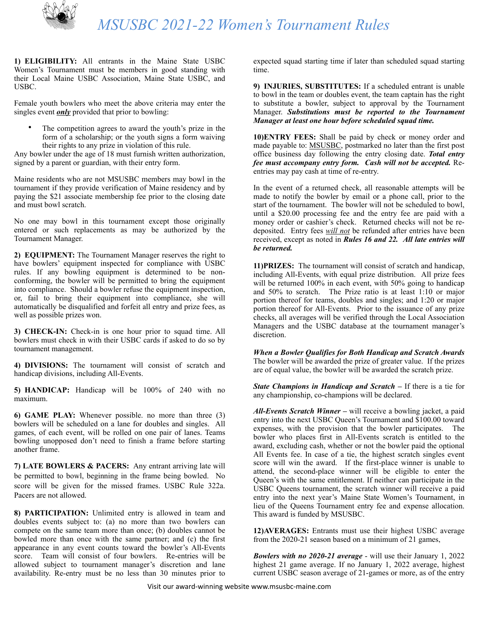

**1) ELIGIBILITY:** All entrants in the Maine State USBC Women's Tournament must be members in good standing with their Local Maine USBC Association, Maine State USBC, and USBC.

Female youth bowlers who meet the above criteria may enter the singles event *only* provided that prior to bowling:

The competition agrees to award the youth's prize in the form of a scholarship; or the youth signs a form waiving their rights to any prize in violation of this rule.

Any bowler under the age of 18 must furnish written authorization, signed by a parent or guardian, with their entry form.

Maine residents who are not MSUSBC members may bowl in the tournament if they provide verification of Maine residency and by paying the \$21 associate membership fee prior to the closing date and must bowl scratch.

No one may bowl in this tournament except those originally entered or such replacements as may be authorized by the Tournament Manager.

**2) EQUIPMENT:** The Tournament Manager reserves the right to have bowlers' equipment inspected for compliance with USBC rules. If any bowling equipment is determined to be nonconforming, the bowler will be permitted to bring the equipment into compliance. Should a bowler refuse the equipment inspection, or, fail to bring their equipment into compliance, she will automatically be disqualified and forfeit all entry and prize fees, as well as possible prizes won.

**3) CHECK-IN:** Check-in is one hour prior to squad time. All bowlers must check in with their USBC cards if asked to do so by tournament management.

**4) DIVISIONS:** The tournament will consist of scratch and handicap divisions, including All-Events.

**5) HANDICAP:** Handicap will be 100% of 240 with no maximum.

**6) GAME PLAY:** Whenever possible. no more than three (3) bowlers will be scheduled on a lane for doubles and singles. All games, of each event, will be rolled on one pair of lanes. Teams bowling unopposed don't need to finish a frame before starting another frame.

**7) LATE BOWLERS & PACERS:** Any entrant arriving late will be permitted to bowl, beginning in the frame being bowled. No score will be given for the missed frames. USBC Rule 322a. Pacers are not allowed.

**8) PARTICIPATION:** Unlimited entry is allowed in team and doubles events subject to: (a) no more than two bowlers can compete on the same team more than once; (b) doubles cannot be bowled more than once with the same partner; and (c) the first appearance in any event counts toward the bowler's All-Events score. Team will consist of four bowlers. Re-entries will be allowed subject to tournament manager's discretion and lane availability. Re-entry must be no less than 30 minutes prior to

expected squad starting time if later than scheduled squad starting time.

**9) INJURIES, SUBSTITUTES:** If a scheduled entrant is unable to bowl in the team or doubles event, the team captain has the right to substitute a bowler, subject to approval by the Tournament Manager. *Substitutions must be reported to the Tournament Manager at least one hour before scheduled squad time.* 

**10)ENTRY FEES:** Shall be paid by check or money order and made payable to: MSUSBC, postmarked no later than the first post office business day following the entry closing date. *Total entry fee must accompany entry form. Cash will not be accepted.* Reentries may pay cash at time of re-entry.

In the event of a returned check, all reasonable attempts will be made to notify the bowler by email or a phone call, prior to the start of the tournament. The bowler will not be scheduled to bowl, until a \$20.00 processing fee and the entry fee are paid with a money order or cashier's check. Returned checks will not be redeposited. Entry fees *will not* be refunded after entries have been received, except as noted in *Rules 16 and 22. All late entries will be returned.*

**11)PRIZES:** The tournament will consist of scratch and handicap, including All-Events, with equal prize distribution. All prize fees will be returned 100% in each event, with 50% going to handicap and 50% to scratch. The Prize ratio is at least 1:10 or major portion thereof for teams, doubles and singles; and 1:20 or major portion thereof for All-Events. Prior to the issuance of any prize checks, all averages will be verified through the Local Association Managers and the USBC database at the tournament manager's discretion.

*When a Bowler Qualifies for Both Handicap and Scratch Awards*  The bowler will be awarded the prize of greater value. If the prizes are of equal value, the bowler will be awarded the scratch prize.

*State Champions in Handicap and Scratch –* If there is a tie for any championship, co-champions will be declared.

*All-Events Scratch Winner –* will receive a bowling jacket, a paid entry into the next USBC Queen's Tournament and \$100.00 toward expenses, with the provision that the bowler participates. The bowler who places first in All-Events scratch is entitled to the award, excluding cash, whether or not the bowler paid the optional All Events fee. In case of a tie, the highest scratch singles event score will win the award. If the first-place winner is unable to attend, the second-place winner will be eligible to enter the Queen's with the same entitlement. If neither can participate in the USBC Queens tournament, the scratch winner will receive a paid entry into the next year's Maine State Women's Tournament, in lieu of the Queens Tournament entry fee and expense allocation. This award is funded by MSUSBC.

**12) AVERAGES:** Entrants must use their highest USBC average from the 2020-21 season based on a minimum of 21 games,

*Bowlers with no 2020-21 average* - will use their January 1, 2022 highest 21 game average. If no January 1, 2022 average, highest current USBC season average of 21-games or more, as of the entry